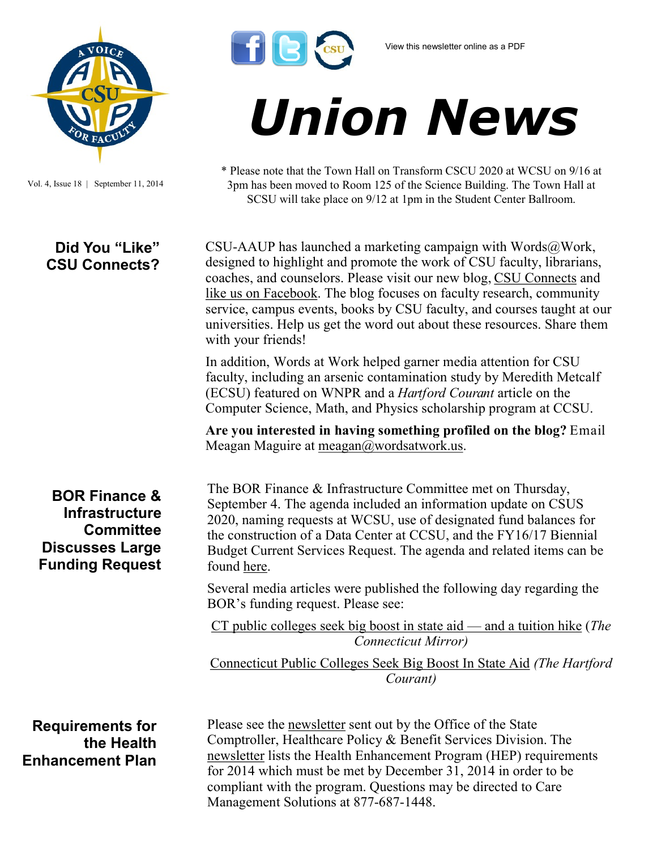

*Union News*

\* Please note that the Town Hall on Transform CSCU 2020 at WCSU on 9/16 at 3pm has been moved to Room 125 of the Science Building. The Town Hall at SCSU will take place on 9/12 at 1pm in the Student Center Ballroom.



Vol. 4, Issue 18 | September 11, 2014

## **Did You "Like" CSU Connects?**

coaches, and counselors. Please visit our new blog, [CSU Connects](http://www.csuconnects.org/) and [like us on Facebook.](https://www.facebook.com/CSUConnects) The blog focuses on faculty research, community service, campus events, books by CSU faculty, and courses taught at our universities. Help us get the word out about these resources. Share them with your friends! In addition, Words at Work helped garner media attention for CSU

CSU-AAUP has launched a marketing campaign with Words $@$ Work, designed to highlight and promote the work of CSU faculty, librarians,

faculty, including an arsenic contamination study by Meredith Metcalf (ECSU) featured on WNPR and a *Hartford Courant* article on the Computer Science, Math, and Physics scholarship program at CCSU.

**Are you interested in having something profiled on the blog?** Email Meagan Maguire at [meagan@wordsatwork.us.](mailto:meagan@wordsatwork.us)

**BOR Finance & Infrastructure Committee Discusses Large Funding Request** The BOR Finance & Infrastructure Committee met on Thursday, September 4. The agenda included an information update on CSUS 2020, naming requests at WCSU, use of designated fund balances for the construction of a Data Center at CCSU, and the FY16/17 Biennial Budget Current Services Request. The agenda and related items can be found [here.](http://www.ct.edu/images/uploads/Finance-Agenda-09-04-2014.pdf?90521)

Several media articles were published the following day regarding the BOR's funding request. Please see:

[CT public colleges seek big boost in state aid —](http://ctmirror.org/ct-public-colleges-need-big-boost-in-state-aid-and-a-tuition-hike/) and a tuition hike (*The Connecticut Mirror)*

[Connecticut Public Colleges Seek Big Boost In State Aid](http://www.courant.com/education/hc-ctm-ct-public-colleges-budget-boost-20140904,0,6511067.story) *(The Hartford Courant)*

## **Requirements for the Health Enhancement Plan**

Please see the [newsletter](http://www.csuaaup.org/wp-content/uploads/2014/09/HEP-Newsletter-07_2014.pdf) sent out by the Office of the State Comptroller, Healthcare Policy & Benefit Services Division. The [newsletter](http://www.csuaaup.org/wp-content/uploads/2014/09/HEP-Newsletter-07_2014.pdf) lists the Health Enhancement Program (HEP) requirements for 2014 which must be met by December 31, 2014 in order to be compliant with the program. Questions may be directed to Care Management Solutions at 877-687-1448.